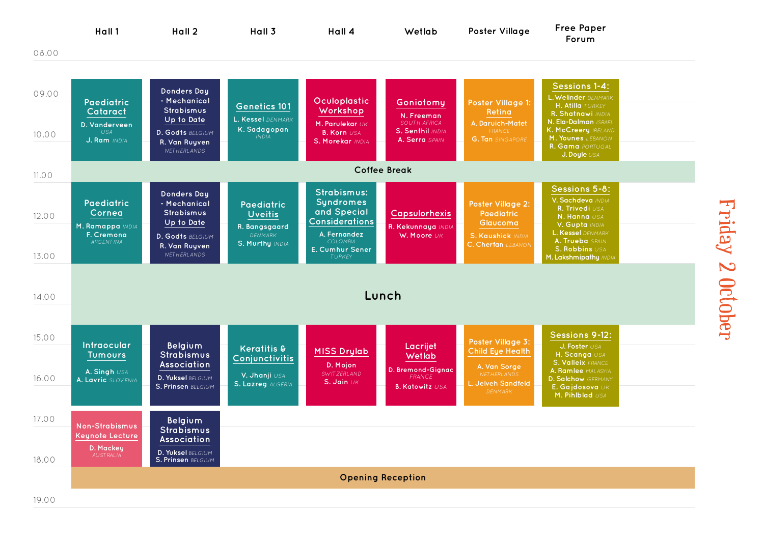

Friday 2 October Friday 2 October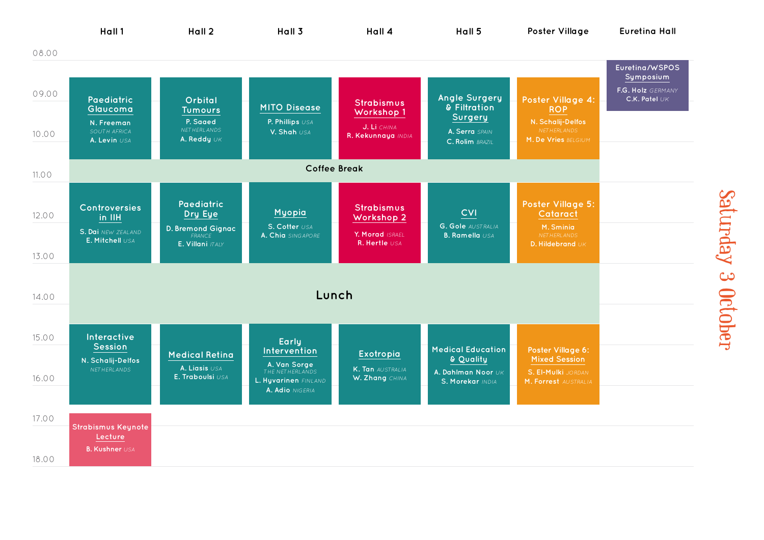

Saturday 3 October Saturday 3 October